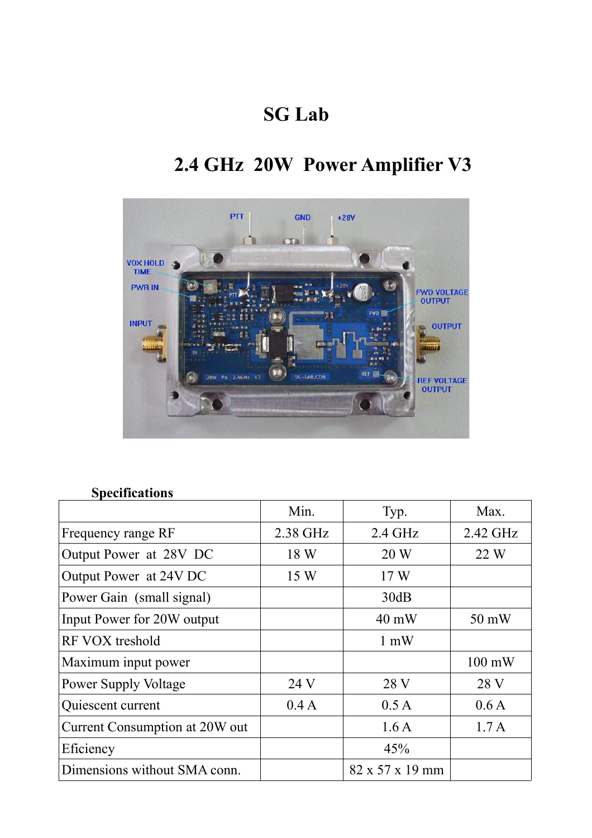## **SG Lab**

# **2.4 GHz 20W Power Amplifier V3**



## **Specifications**

|                                | Min.     | Typ.                        | Max.             |
|--------------------------------|----------|-----------------------------|------------------|
| Frequency range RF             | 2.38 GHz | 2.4 GHz                     | 2.42 GHz         |
| Output Power at 28V DC         | 18 W     | 20 W                        | 22 W             |
| Output Power at 24V DC         | 15 W     | 17W                         |                  |
| Power Gain (small signal)      |          | 30dB                        |                  |
| Input Power for 20W output     |          | $40 \text{ mW}$             | 50 mW            |
| RF VOX treshold                |          | $1 \text{ mW}$              |                  |
| Maximum input power            |          |                             | $100 \text{ mW}$ |
| <b>Power Supply Voltage</b>    | 24 V     | 28 V                        | 28 V             |
| Quiescent current              | 0.4A     | 0.5A                        | 0.6A             |
| Current Consumption at 20W out |          | 1.6A                        | 1.7A             |
| Eficiency                      |          | 45%                         |                  |
| Dimensions without SMA conn.   |          | $82 \times 57 \times 19$ mm |                  |